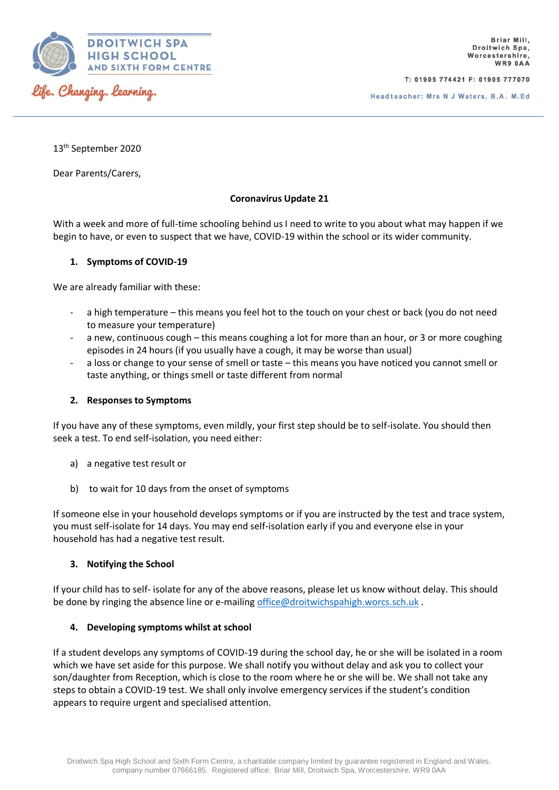

T: 01905 774421 F: 01905 777070

13th September 2020

Dear Parents/Carers,

# **Coronavirus Update 21**

With a week and more of full-time schooling behind us I need to write to you about what may happen if we begin to have, or even to suspect that we have, COVID-19 within the school or its wider community.

# **1. Symptoms of COVID-19**

We are already familiar with these:

- a high temperature this means you feel hot to the touch on your chest or back (you do not need to measure your temperature)
- a new, continuous cough this means coughing a lot for more than an hour, or 3 or more coughing episodes in 24 hours (if you usually have a cough, it may be worse than usual)
- a loss or change to your sense of smell or taste this means you have noticed you cannot smell or taste anything, or things smell or taste different from normal

# **2. Responses to Symptoms**

If you have any of these symptoms, even mildly, your first step should be to self-isolate. You should then seek a test. To end self-isolation, you need either:

- a) a negative test result or
- b) to wait for 10 days from the onset of symptoms

If someone else in your household develops symptoms or if you are instructed by the test and trace system, you must self-isolate for 14 days. You may end self-isolation early if you and everyone else in your household has had a negative test result.

# **3. Notifying the School**

If your child has to self- isolate for any of the above reasons, please let us know without delay. This should be done by ringing the absence line or e-mailing [office@droitwichspahigh.worcs.sch.uk](mailto:office@droitwichspahigh.worcs.sch.uk) .

# **4. Developing symptoms whilst at school**

If a student develops any symptoms of COVID-19 during the school day, he or she will be isolated in a room which we have set aside for this purpose. We shall notify you without delay and ask you to collect your son/daughter from Reception, which is close to the room where he or she will be. We shall not take any steps to obtain a COVID-19 test. We shall only involve emergency services if the student's condition appears to require urgent and specialised attention.